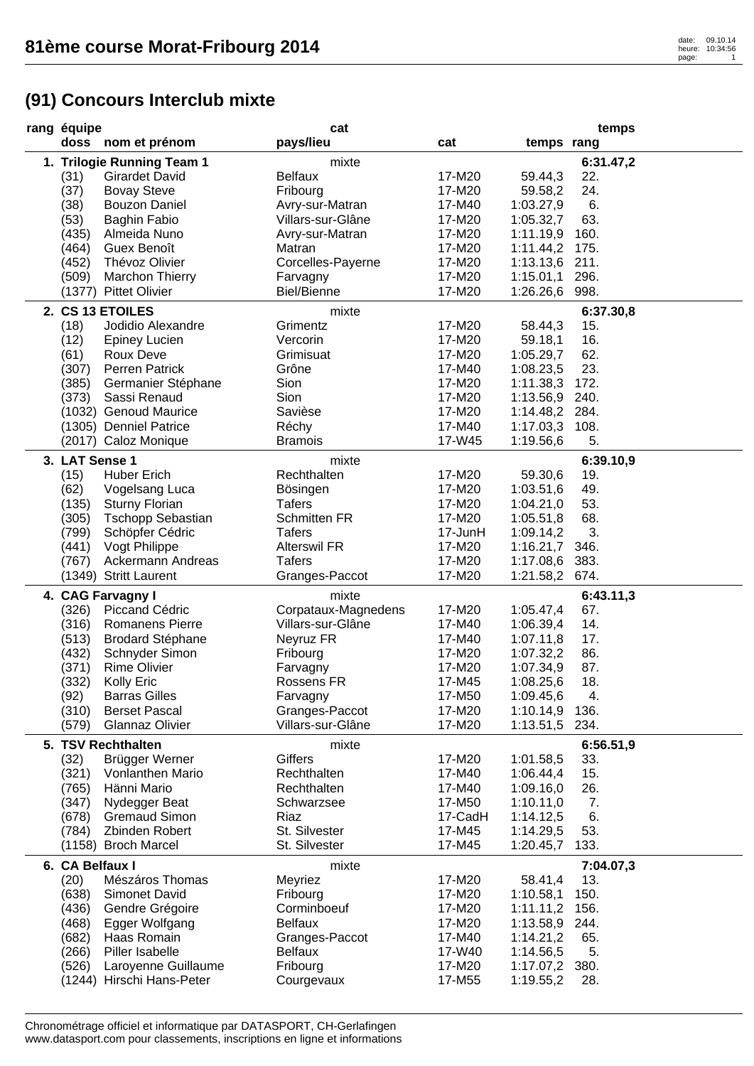## **(91) Concours Interclub mixte**

| rang équipe |                 |                            | cat                 |         |                | temps     |
|-------------|-----------------|----------------------------|---------------------|---------|----------------|-----------|
|             |                 | doss nom et prénom         | pays/lieu           | cat     | temps rang     |           |
|             |                 | 1. Trilogie Running Team 1 | mixte               |         |                | 6:31.47,2 |
|             | (31)            | <b>Girardet David</b>      | <b>Belfaux</b>      | 17-M20  | 59.44,3        | 22.       |
|             | (37)            | <b>Bovay Steve</b>         | Fribourg            | 17-M20  | 59.58,2        | 24.       |
|             | (38)            | <b>Bouzon Daniel</b>       | Avry-sur-Matran     | 17-M40  | 1:03.27,9      | 6.        |
|             | (53)            | <b>Baghin Fabio</b>        | Villars-sur-Glâne   | 17-M20  | 1:05.32,7      | 63.       |
|             |                 |                            |                     |         |                |           |
|             | (435)           | Almeida Nuno               | Avry-sur-Matran     | 17-M20  | 1:11.19,9      | 160.      |
|             | (464)           | Guex Benoît                | Matran              | 17-M20  | 1:11.44,2 175. |           |
|             | (452)           | Thévoz Olivier             | Corcelles-Payerne   | 17-M20  | 1:13.13,6 211. |           |
|             | (509)           | <b>Marchon Thierry</b>     | Farvagny            | 17-M20  | 1:15.01,1      | 296.      |
|             | (1377)          | <b>Pittet Olivier</b>      | <b>Biel/Bienne</b>  | 17-M20  | 1:26.26,6      | 998.      |
|             |                 | 2. CS 13 ETOILES           | mixte               |         |                | 6:37.30,8 |
|             | (18)            | Jodidio Alexandre          | Grimentz            | 17-M20  | 58.44,3        | 15.       |
|             | (12)            | <b>Epiney Lucien</b>       | Vercorin            | 17-M20  | 59.18,1        | 16.       |
|             | (61)            | Roux Deve                  | Grimisuat           | 17-M20  | 1:05.29,7      | 62.       |
|             | (307)           | Perren Patrick             | Grône               | 17-M40  | 1:08.23,5      | 23.       |
|             | (385)           | Germanier Stéphane         | Sion                | 17-M20  | 1:11.38,3      | 172.      |
|             | (373)           | Sassi Renaud               | Sion                | 17-M20  | 1:13.56,9      | 240.      |
|             |                 | (1032) Genoud Maurice      | Savièse             | 17-M20  | 1:14.48,2 284. |           |
|             |                 | (1305) Denniel Patrice     | Réchy               | 17-M40  | 1:17.03,3 108. |           |
|             |                 | (2017) Caloz Monique       | <b>Bramois</b>      | 17-W45  | 1:19.56,6      | 5.        |
|             |                 |                            |                     |         |                |           |
|             | 3. LAT Sense 1  |                            | mixte               |         |                | 6:39.10,9 |
|             | (15)            | <b>Huber Erich</b>         | Rechthalten         | 17-M20  | 59.30,6        | 19.       |
|             | (62)            | Vogelsang Luca             | Bösingen            | 17-M20  | 1:03.51,6      | 49.       |
|             | (135)           | <b>Sturny Florian</b>      | <b>Tafers</b>       | 17-M20  | 1:04.21,0      | 53.       |
|             | (305)           | <b>Tschopp Sebastian</b>   | <b>Schmitten FR</b> | 17-M20  | 1:05.51,8      | 68.       |
|             | (799)           | Schöpfer Cédric            | <b>Tafers</b>       | 17-JunH | 1:09.14,2      | 3.        |
|             | (441)           | Vogt Philippe              | <b>Alterswil FR</b> | 17-M20  | 1:16.21,7      | 346.      |
|             | (767)           | Ackermann Andreas          | <b>Tafers</b>       | 17-M20  | 1:17.08,6      | 383.      |
|             |                 | (1349) Stritt Laurent      | Granges-Paccot      | 17-M20  | 1:21.58,2      | 674.      |
|             |                 | 4. CAG Farvagny I          | mixte               |         |                | 6:43.11,3 |
|             | (326)           | Piccand Cédric             | Corpataux-Magnedens | 17-M20  | 1:05.47,4      | 67.       |
|             | (316)           | Romanens Pierre            | Villars-sur-Glâne   | 17-M40  | 1:06.39,4      | 14.       |
|             | (513)           | <b>Brodard Stéphane</b>    | Neyruz FR           | 17-M40  | 1:07.11,8      | 17.       |
|             | (432)           | Schnyder Simon             | Fribourg            | 17-M20  | 1:07.32,2      | 86.       |
|             | (371)           | <b>Rime Olivier</b>        | Farvagny            | 17-M20  | 1:07.34,9      | 87.       |
|             | (332)           | Kolly Eric                 | Rossens FR          | 17-M45  | 1:08.25,6      | 18.       |
|             | (92)            | <b>Barras Gilles</b>       | Farvagny            | 17-M50  | 1:09.45,6      | 4.        |
|             | (310)           | <b>Berset Pascal</b>       | Granges-Paccot      | 17-M20  | 1:10.14,9      | 136.      |
|             | (579)           | <b>Glannaz Olivier</b>     | Villars-sur-Glâne   | 17-M20  | 1:13.51,5      | 234.      |
|             |                 |                            |                     |         |                |           |
|             |                 | 5. TSV Rechthalten         | mixte               |         |                | 6:56.51,9 |
|             | (32)            | Brügger Werner             | <b>Giffers</b>      | 17-M20  | 1:01.58,5      | 33.       |
|             | (321)           | Vonlanthen Mario           | Rechthalten         | 17-M40  | 1:06.44,4      | 15.       |
|             | (765)           | Hänni Mario                | Rechthalten         | 17-M40  | 1:09.16,0      | 26.       |
|             | (347)           | Nydegger Beat              | Schwarzsee          | 17-M50  | 1:10.11,0      | 7.        |
|             | (678)           | <b>Gremaud Simon</b>       | Riaz                | 17-CadH | 1:14.12,5      | 6.        |
|             | (784)           | Zbinden Robert             | St. Silvester       | 17-M45  | 1:14.29,5      | 53.       |
|             |                 | (1158) Broch Marcel        | St. Silvester       | 17-M45  | 1:20.45,7      | 133.      |
|             | 6. CA Belfaux I |                            | mixte               |         |                | 7:04.07,3 |
|             | (20)            | Mészáros Thomas            | Meyriez             | 17-M20  | 58.41,4        | 13.       |
|             | (638)           | <b>Simonet David</b>       | Fribourg            | 17-M20  | 1:10.58,1      | 150.      |
|             | (436)           | Gendre Grégoire            | Corminboeuf         | 17-M20  | 1:11.11,2      | 156.      |
|             | (468)           | Egger Wolfgang             | <b>Belfaux</b>      | 17-M20  | 1:13.58,9 244. |           |
|             | (682)           | Haas Romain                | Granges-Paccot      | 17-M40  | 1:14.21,2      | 65.       |
|             | (266)           | Piller Isabelle            | <b>Belfaux</b>      | 17-W40  | 1:14.56,5      | 5.        |
|             | (526)           | Laroyenne Guillaume        | Fribourg            | 17-M20  | 1:17.07,2 380. |           |
|             |                 | (1244) Hirschi Hans-Peter  | Courgevaux          | 17-M55  | 1:19.55,2      | 28.       |
|             |                 |                            |                     |         |                |           |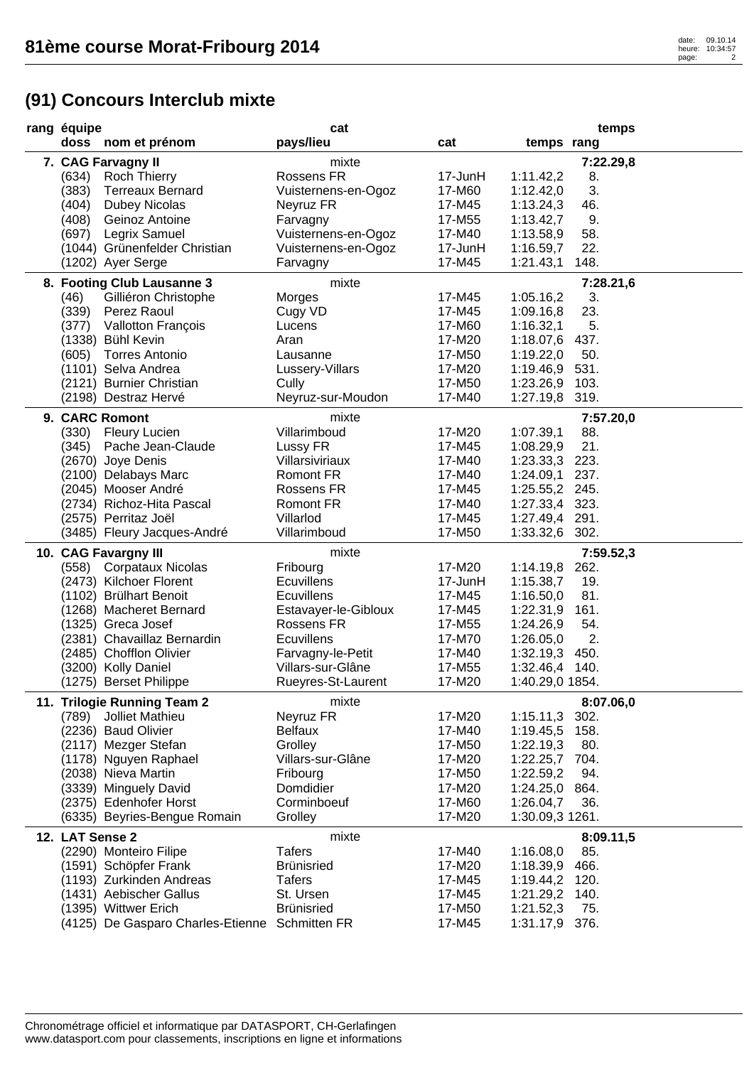## **(91) Concours Interclub mixte**

| rang équipe                                    | cat                  |         |                 | temps     |
|------------------------------------------------|----------------------|---------|-----------------|-----------|
| doss nom et prénom                             | pays/lieu            | cat     | temps rang      |           |
| 7. CAG Farvagny II                             | mixte                |         |                 | 7:22.29,8 |
| (634)<br><b>Roch Thierry</b>                   | Rossens FR           | 17-JunH | 1:11.42,2       | 8.        |
| (383)<br><b>Terreaux Bernard</b>               | Vuisternens-en-Ogoz  | 17-M60  | 1:12.42,0       | 3.        |
| (404)<br><b>Dubey Nicolas</b>                  | Neyruz FR            | 17-M45  | 1:13.24,3       | 46.       |
| (408)<br>Geinoz Antoine                        | Farvagny             | 17-M55  | 1:13.42,7       | 9.        |
| (697)<br>Legrix Samuel                         | Vuisternens-en-Ogoz  | 17-M40  | 1:13.58,9       | 58.       |
| (1044) Grünenfelder Christian                  | Vuisternens-en-Ogoz  | 17-JunH | 1:16.59,7       | 22.       |
| (1202) Ayer Serge                              | Farvagny             | 17-M45  | 1:21.43,1       | 148.      |
| 8. Footing Club Lausanne 3                     | mixte                |         |                 | 7:28.21,6 |
| (46)<br>Gilliéron Christophe                   | Morges               | 17-M45  | 1:05.16,2       | 3.        |
| (339)<br>Perez Raoul                           | Cugy VD              | 17-M45  | 1:09.16,8       | 23.       |
| Vallotton François<br>(377)                    | Lucens               | 17-M60  | 1:16.32,1       | 5.        |
| (1338) Bühl Kevin                              | Aran                 | 17-M20  | 1:18.07,6 437.  |           |
| (605)<br><b>Torres Antonio</b>                 | Lausanne             | 17-M50  | 1:19.22,0       | 50.       |
| (1101) Selva Andrea                            | Lussery-Villars      | 17-M20  | 1:19.46,9 531.  |           |
| (2121) Burnier Christian                       | Cully                | 17-M50  | 1:23.26,9       | 103.      |
| (2198) Destraz Hervé                           | Neyruz-sur-Moudon    | 17-M40  | 1:27.19,8       | 319.      |
| 9. CARC Romont                                 | mixte                |         |                 | 7:57.20,0 |
| (330) Fleury Lucien                            | Villarimboud         | 17-M20  | 1:07.39,1       | 88.       |
| (345)<br>Pache Jean-Claude                     | Lussy FR             | 17-M45  | 1:08.29,9       | 21.       |
| (2670) Joye Denis                              | Villarsiviriaux      | 17-M40  | 1:23.33,3 223.  |           |
| (2100) Delabays Marc                           | <b>Romont FR</b>     | 17-M40  | 1:24.09,1 237.  |           |
| (2045) Mooser André                            | Rossens FR           | 17-M45  | 1:25.55,2 245.  |           |
| (2734) Richoz-Hita Pascal                      | Romont FR            | 17-M40  | 1:27.33,4 323.  |           |
| (2575) Perritaz Joël                           | Villarlod            | 17-M45  | 1:27.49,4 291.  |           |
| (3485) Fleury Jacques-André                    | Villarimboud         | 17-M50  | 1:33.32,6 302.  |           |
| 10. CAG Favargny III                           | mixte                |         |                 | 7:59.52,3 |
| <b>Corpataux Nicolas</b><br>(558)              | Fribourg             | 17-M20  | 1:14.19,8       | 262.      |
| (2473) Kilchoer Florent                        | <b>Ecuvillens</b>    | 17-JunH | 1:15.38,7       | 19.       |
| (1102) Brülhart Benoit                         | <b>Ecuvillens</b>    | 17-M45  | 1:16.50,0       | 81.       |
| (1268) Macheret Bernard                        | Estavayer-le-Gibloux | 17-M45  | 1:22.31,9       | 161.      |
| (1325) Greca Josef                             | Rossens FR           | 17-M55  | 1:24.26,9       | 54.       |
| (2381) Chavaillaz Bernardin                    | <b>Ecuvillens</b>    | 17-M70  | 1:26.05,0       | 2.        |
| (2485) Chofflon Olivier                        | Farvagny-le-Petit    | 17-M40  | 1:32.19,3 450.  |           |
| (3200) Kolly Daniel                            | Villars-sur-Glâne    | 17-M55  | 1:32.46,4 140.  |           |
| (1275) Berset Philippe                         | Rueyres-St-Laurent   | 17-M20  | 1:40.29,0 1854. |           |
| 11. Trilogie Running Team 2                    | mixte                |         |                 | 8:07.06,0 |
| Jolliet Mathieu<br>(789)                       | Neyruz FR            | 17-M20  | 1:15.11,3       | 302.      |
| (2236) Baud Olivier                            | <b>Belfaux</b>       | 17-M40  | 1:19.45,5       | 158.      |
| (2117) Mezger Stefan                           | Grolley              | 17-M50  | 1:22.19,3       | 80.       |
| (1178) Nguyen Raphael                          | Villars-sur-Glâne    | 17-M20  | 1:22.25,7       | 704.      |
| (2038) Nieva Martin                            | Fribourg             | 17-M50  | 1:22.59,2       | 94.       |
| (3339) Minguely David                          | Domdidier            | 17-M20  | 1:24.25,0 864.  |           |
| (2375) Edenhofer Horst                         | Corminboeuf          | 17-M60  | 1:26.04,7       | 36.       |
| (6335) Beyries-Bengue Romain                   | Grolley              | 17-M20  | 1:30.09,3 1261. |           |
| 12. LAT Sense 2                                | mixte                |         |                 | 8:09.11,5 |
| (2290) Monteiro Filipe                         | <b>Tafers</b>        | 17-M40  | 1:16.08,0       | 85.       |
| (1591) Schöpfer Frank                          | <b>Brünisried</b>    | 17-M20  | 1:18.39,9       | 466.      |
| (1193) Zurkinden Andreas                       | <b>Tafers</b>        | 17-M45  | 1:19.44,2       | 120.      |
| (1431) Aebischer Gallus                        | St. Ursen            | 17-M45  | 1:21.29,2       | 140.      |
| (1395) Wittwer Erich                           | <b>Brünisried</b>    | 17-M50  | 1:21.52,3       | 75.       |
| (4125) De Gasparo Charles-Etienne Schmitten FR |                      | 17-M45  | 1:31.17,9 376.  |           |